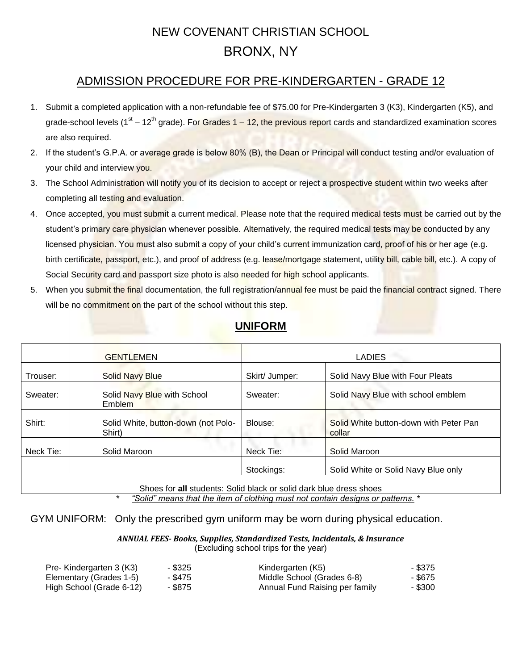### NEW COVENANT CHRISTIAN SCHOOL BRONX, NY

#### ADMISSION PROCEDURE FOR PRE-KINDERGARTEN - GRADE 12

- 1. Submit a completed application with a non-refundable fee of \$75.00 for Pre-Kindergarten 3 (K3), Kindergarten (K5), and grade-school levels (1<sup>st</sup> – 12<sup>th</sup> grade). For Grades 1 – 12, the previous report cards and standardized examination scores are also required.
- 2. If the student's G.P.A. or average grade is below 80% (B), the Dean or Principal will conduct testing and/or evaluation of your child and interview you.
- 3. The School Administration will notify you of its decision to accept or reject a prospective student within two weeks after completing all testing and evaluation.
- 4. Once accepted, you must submit a current medical. Please note that the required medical tests must be carried out by the student's primary care physician whenever possible. Alternatively, the required medical tests may be conducted by any licensed physician. You must also submit a copy of your child's current immunization card, proof of his or her age (e.g. birth certificate, passport, etc.), and proof of address (e.g. lease/mortgage statement, utility bill, cable bill, etc.). A copy of Social Security card and passport size photo is also needed for high school applicants.
- 5. When you submit the final documentation, the full registration/annual fee must be paid the financial contract signed. There will be no commitment on the part of the school without this step.

|                                                                    | <b>GENTLEMEN</b>                              |                | <b>LADIES</b>                                    |  |
|--------------------------------------------------------------------|-----------------------------------------------|----------------|--------------------------------------------------|--|
| Trouser:                                                           | <b>Solid Navy Blue</b>                        | Skirt/ Jumper: | Solid Navy Blue with Four Pleats                 |  |
| Sweater:                                                           | Solid Navy Blue with School<br><b>Emblem</b>  | Sweater:       | Solid Navy Blue with school emblem               |  |
| Shirt:                                                             | Solid White, button-down (not Polo-<br>Shirt) | Blouse:        | Solid White button-down with Peter Pan<br>collar |  |
| Neck Tie:                                                          | Solid Maroon                                  | Neck Tie:      | Solid Maroon                                     |  |
|                                                                    |                                               | Stockings:     | Solid White or Solid Navy Blue only              |  |
| Shoes for all students: Solid black or solid dark blue dress shoes |                                               |                |                                                  |  |

#### **UNIFORM**

\* *"Solid" means that the item of clothing must not contain designs or patterns.* \*

GYM UNIFORM: Only the prescribed gym uniform may be worn during physical education.

*ANNUAL FEES- Books, Supplies, Standardized Tests, Incidentals, & Insurance* (Excluding school trips for the year)

| Pre- Kindergarten 3 (K3) | - \$325 | Kindergarten (K5)              | - \$375 |
|--------------------------|---------|--------------------------------|---------|
| Elementary (Grades 1-5)  | - \$475 | Middle School (Grades 6-8)     | - \$675 |
| High School (Grade 6-12) | - \$875 | Annual Fund Raising per family | - \$300 |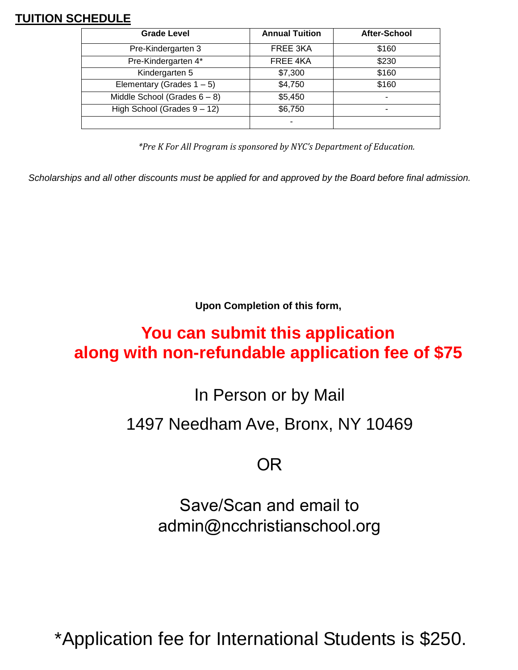### **TUITION SCHEDULE**

| <b>Grade Level</b>              | <b>Annual Tuition</b> | After-School             |
|---------------------------------|-----------------------|--------------------------|
| Pre-Kindergarten 3              | FREE 3KA              | \$160                    |
| Pre-Kindergarten 4*             | FREE 4KA              | \$230                    |
| Kindergarten 5                  | \$7,300               | \$160                    |
| Elementary (Grades $1 - 5$ )    | \$4,750               | \$160                    |
| Middle School (Grades $6 - 8$ ) | \$5,450               | $\overline{\phantom{0}}$ |
| High School (Grades 9 - 12)     | \$6,750               |                          |
|                                 |                       |                          |

*\*Pre K For All Program is sponsored by NYC's Department of Education.*

*Scholarships and all other discounts must be applied for and approved by the Board before final admission.* 

**Upon Completion of this form,** 

# **You can submit this application along with non-refundable application fee of \$75**

In Person or by Mail

## 1497 Needham Ave, Bronx, NY 10469

## OR

Save/Scan and email to admin@ncchristianschool.org

\*Application fee for International Students is \$250.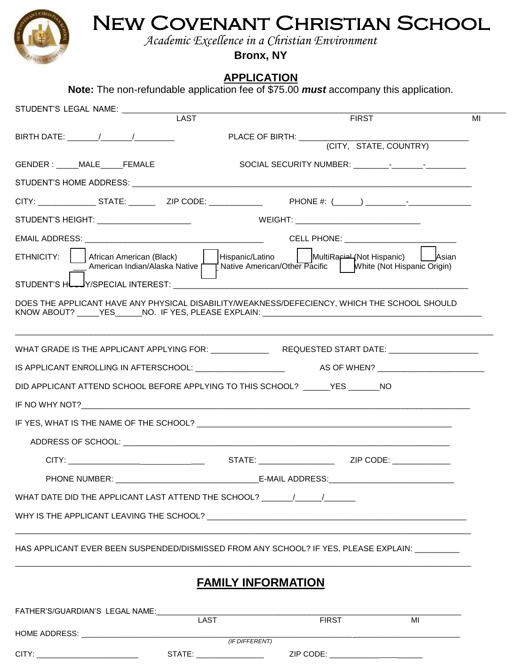New Covenant Christian School *Academic Excellence in a Christian Environment* **Bronx, NY**

### **APPLICATION**

**Note:** The non-refundable application fee of \$75.00 *must* accompany this application.

| STUDENT'S LEGAL NAME: ____________                                                           | <b>LAST</b>               |                              | <b>FIRST</b>                              | MI |
|----------------------------------------------------------------------------------------------|---------------------------|------------------------------|-------------------------------------------|----|
|                                                                                              |                           |                              |                                           |    |
|                                                                                              |                           |                              |                                           |    |
| GENDER: MALE FEMALE                                                                          |                           |                              |                                           |    |
|                                                                                              |                           |                              |                                           |    |
|                                                                                              |                           |                              |                                           |    |
| STUDENT'S HEIGHT: _____________________                                                      |                           | <b>SALES WEIGHT:</b> WEIGHT: |                                           |    |
|                                                                                              |                           |                              | CELL PHONE: _____________________________ |    |
| ETHNICITY:  <br>African American (Black)                                                     | Hispanic/Latino           |                              | Asian MultiRa anid Asian                  |    |
| STUDENT'S HL_JY/SPECIAL INTEREST:                                                            |                           |                              |                                           |    |
| DOES THE APPLICANT HAVE ANY PHYSICAL DISABILITY/WEAKNESS/DEFECIENCY, WHICH THE SCHOOL SHOULD |                           |                              |                                           |    |
|                                                                                              |                           |                              |                                           |    |
|                                                                                              |                           |                              |                                           |    |
| DID APPLICANT ATTEND SCHOOL BEFORE APPLYING TO THIS SCHOOL? YES NO                           |                           |                              |                                           |    |
|                                                                                              |                           |                              |                                           |    |
|                                                                                              |                           |                              |                                           |    |
|                                                                                              |                           |                              |                                           |    |
|                                                                                              |                           | STATE: ZIP CODE:             |                                           |    |
| PHONE NUMBER:                                                                                |                           | <b>E-MAIL ADDRESS:</b>       |                                           |    |
| WHAT DATE DID THE APPLICANT LAST ATTEND THE SCHOOL? $\sqrt{2}$                               |                           |                              |                                           |    |
|                                                                                              |                           |                              |                                           |    |
| HAS APPLICANT EVER BEEN SUSPENDED/DISMISSED FROM ANY SCHOOL? IF YES, PLEASE EXPLAIN:         |                           |                              |                                           |    |
|                                                                                              | <b>FAMILY INFORMATION</b> |                              |                                           |    |
| FATHER'S/GUARDIAN'S LEGAL NAME:                                                              | <b>LAST</b>               | <b>FIRST</b>                 | MI                                        |    |
|                                                                                              | (IF DIFFERENT)            |                              |                                           |    |
|                                                                                              |                           |                              |                                           |    |